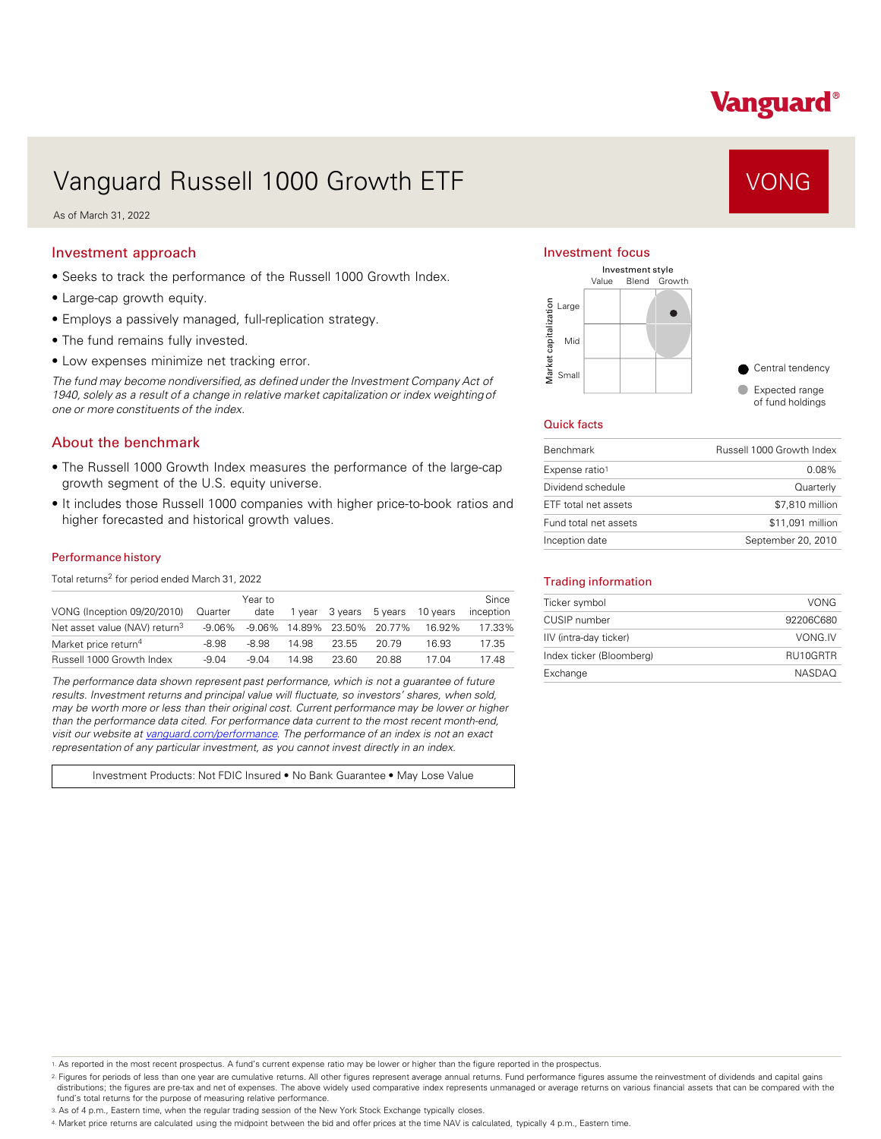# Vanguard®

# Vanguard Russell 1000 Growth ETF VONG

As of March 31, 2022

#### Investment approach

- Seeks to track the performance of the Russell 1000 Growth Index.
- Large-cap growth equity.
- Employs a passively managed, full-replication strategy.
- The fund remains fully invested.
- Low expenses minimize net tracking error.

*The fund may become nondiversified, as defined under the Investment Company Act of 1940, solely as a result of a change in relative market capitalization or index weighting of one or more constituents of the index.* 

### About the benchmark

- The Russell 1000 Growth Index measures the performance of the large-cap growth segment of the U.S. equity universe.
- It includes those Russell 1000 companies with higher price-to-book ratios and higher forecasted and historical growth values.

#### Performance history

Total returns<sup>2</sup> for period ended March 31, 2022

| VONG (Inception 09/20/2010)               | Quarter   | Year to<br>date | 1 vear | 3 vears                     | 5 vears | 10 years | Since<br>inception |
|-------------------------------------------|-----------|-----------------|--------|-----------------------------|---------|----------|--------------------|
| Net asset value (NAV) return <sup>3</sup> | $-9.06\%$ |                 |        | -9.06% 14.89% 23.50% 20.77% |         | 16.92%   | 17.33%             |
| Market price return <sup>4</sup>          | -8.98     | -8.98           | 14.98  | 23.55                       | 20.79   | 16.93    | 17.35              |
| Russell 1000 Growth Index                 | $-9.04$   | -9.04           | 14.98  | 23.60                       | 20.88   | 17 N4    | 17.48              |

*The performance data shown represent past performance, which is not a guarantee of future results. Investment returns and principal value will fluctuate, so investors' shares, when sold, may be worth more or less than their original cost. Current performance may be lower or higher than the performance data cited. For performance data current to the most recent month-end, visit our website at [vanguard.com/performance .](http://www.vanguard.com/performance) The performance of an index is not an exact representation of any particular investment, as you cannot invest directly in an index.* 

Investment Products: Not FDIC Insured • No Bank Guarantee • May Lose Value

#### Investment focus



#### Quick facts

| <b>Benchmark</b>      | Russell 1000 Growth Index |
|-----------------------|---------------------------|
| Expense ratio1        | $0.08\%$                  |
| Dividend schedule     | Quarterly                 |
| ETF total net assets  | \$7.810 million           |
| Fund total net assets | \$11,091 million          |
| Inception date        | September 20, 2010        |

#### Trading information

| Ticker symbol            | VONG          |
|--------------------------|---------------|
| CUSIP number             | 92206C680     |
| IIV (intra-day ticker)   | VONG.IV       |
| Index ticker (Bloomberg) | RU10GRTR      |
| Exchange                 | <b>NASDAO</b> |

1. As reported in the most recent prospectus. A fund's current expense ratio may be lower or higher than the figure reported in the prospectus.

2. Figures for periods of less than one year are cumulative returns. All other figures represent average annual returns. Fund performance figures assume the reinvestment of dividends and capital gains distributions; the figures are pre-tax and net of expenses. The above widely used comparative index represents unmanaged or average returns on various financial assets that can be compared with the fund's total returns for the purpose of measuring relative performance.

3. As of 4 p.m., Eastern time, when the regular trading session of the New York Stock Exchange typically closes.

4. Market price returns are calculated using the midpoint between the bid and offer prices at the time NAV is calculated, typically 4 p.m., Eastern time.